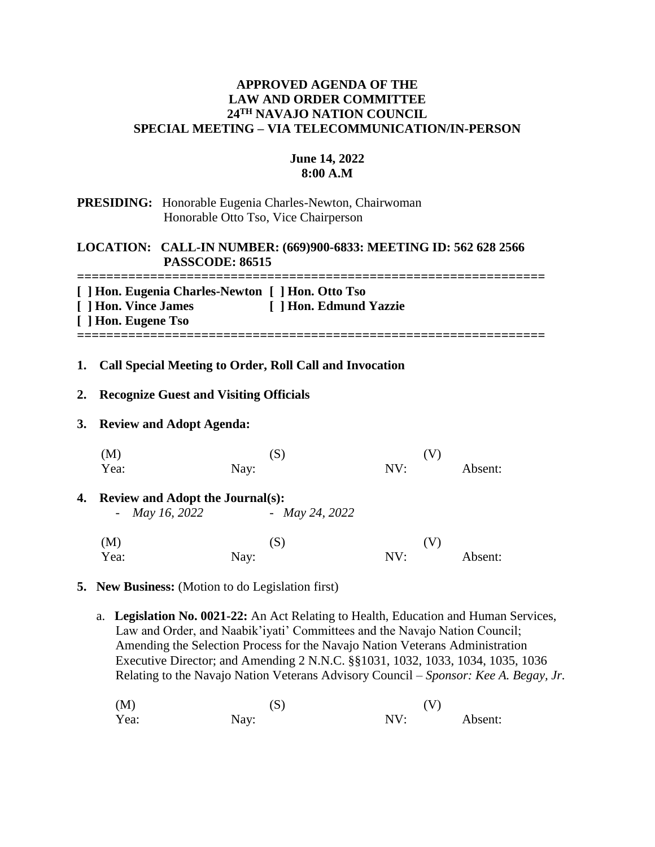### **APPROVED AGENDA OF THE LAW AND ORDER COMMITTEE 24TH NAVAJO NATION COUNCIL SPECIAL MEETING – VIA TELECOMMUNICATION/IN-PERSON**

### **June 14, 2022 8:00 A.M**

# **PRESIDING:** Honorable Eugenia Charles-Newton, Chairwoman Honorable Otto Tso, Vice Chairperson

# **LOCATION: CALL-IN NUMBER: (669)900-6833: MEETING ID: 562 628 2566 PASSCODE: 86515**

**================================================================**

| [ ] Hon. Eugenia Charles-Newton [ ] Hon. Otto Tso |                        |
|---------------------------------------------------|------------------------|
| [ ] Hon. Vince James                              | [ ] Hon. Edmund Yazzie |
| [ ] Hon. Eugene Tso                               |                        |
|                                                   |                        |

### **1. Call Special Meeting to Order, Roll Call and Invocation**

### **2. Recognize Guest and Visiting Officials**

#### **3. Review and Adopt Agenda:**

|    | $(\mathrm{S})$<br>(M)                   |                       | 1 V |     |         |
|----|-----------------------------------------|-----------------------|-----|-----|---------|
|    | Yea:                                    | Nay:                  | NV: |     | Absent: |
| 4. | <b>Review and Adopt the Journal(s):</b> |                       |     |     |         |
|    | - <i>May 16</i> , 2022                  | - <i>May</i> 24, 2022 |     |     |         |
|    | (M)                                     | (S)                   |     | (V) |         |
|    | Yea:                                    | Nay:                  | NV: |     | Absent: |

#### **5. New Business:** (Motion to do Legislation first)

 a. **Legislation No. 0021-22:** An Act Relating to Health, Education and Human Services, Law and Order, and Naabik'iyati' Committees and the Navajo Nation Council; Amending the Selection Process for the Navajo Nation Veterans Administration Executive Director; and Amending 2 N.N.C. §§1031, 1032, 1033, 1034, 1035, 1036 Relating to the Navajo Nation Veterans Advisory Council – *Sponsor: Kee A. Begay, Jr.*

| (M)  | (S)  | (V) |         |
|------|------|-----|---------|
| Yea: | Nay: | NV: | Absent: |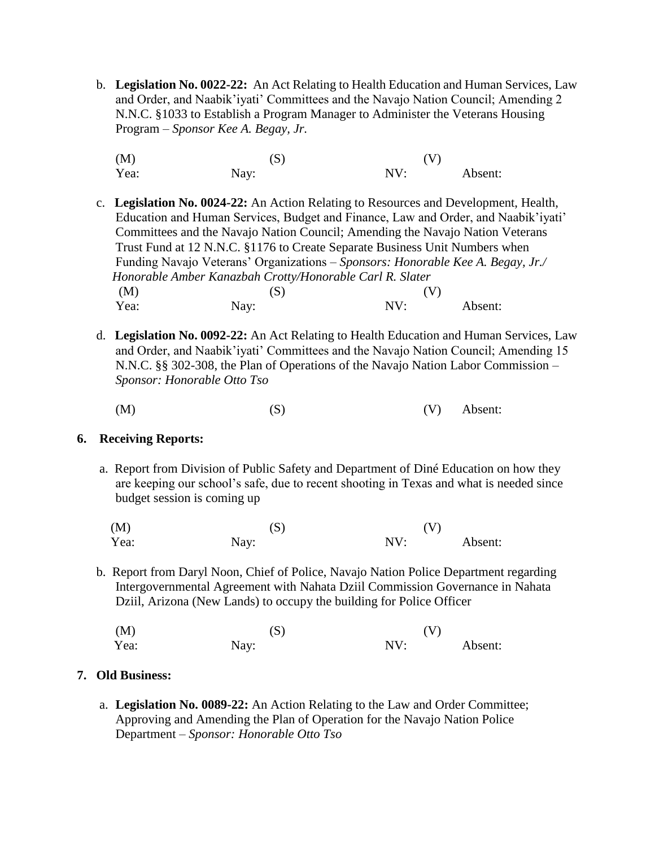- b. **Legislation No. 0022-22:** An Act Relating to Health Education and Human Services, Law and Order, and Naabik'iyati' Committees and the Navajo Nation Council; Amending 2 N.N.C. §1033 to Establish a Program Manager to Administer the Veterans Housing Program – *Sponsor Kee A. Begay, Jr.*
	- (M)  $(S)$  (V) Yea: Nay: Nay: NV: Absent:
- c. **Legislation No. 0024-22:** An Action Relating to Resources and Development, Health, Education and Human Services, Budget and Finance, Law and Order, and Naabik'iyati' Committees and the Navajo Nation Council; Amending the Navajo Nation Veterans Trust Fund at 12 N.N.C. §1176 to Create Separate Business Unit Numbers when Funding Navajo Veterans' Organizations – *Sponsors: Honorable Kee A. Begay, Jr./ Honorable Amber Kanazbah Crotty/Honorable Carl R. Slater* (M)  $(S)$  (V) Yea: Nay: Nay: NV: Absent:
- d. **Legislation No. 0092-22:** An Act Relating to Health Education and Human Services, Law and Order, and Naabik'iyati' Committees and the Navajo Nation Council; Amending 15 N.N.C. §§ 302-308, the Plan of Operations of the Navajo Nation Labor Commission –  *Sponsor: Honorable Otto Tso*

 $(M)$  (S)  $(N)$  Absent:

### **6. Receiving Reports:**

- a. Report from Division of Public Safety and Department of Diné Education on how they are keeping our school's safe, due to recent shooting in Texas and what is needed since budget session is coming up
- $(M)$  (S)  $(V)$ Yea: Nay: Nay: NV: Absent:
- b. Report from Daryl Noon, Chief of Police, Navajo Nation Police Department regarding Intergovernmental Agreement with Nahata Dziil Commission Governance in Nahata Dziil, Arizona (New Lands) to occupy the building for Police Officer

| (M)  | (S)  | (V) |         |
|------|------|-----|---------|
| Yea: | Nay: | NV: | Absent: |

# **7. Old Business:**

a. **Legislation No. 0089-22:** An Action Relating to the Law and Order Committee; Approving and Amending the Plan of Operation for the Navajo Nation Police Department – *Sponsor: Honorable Otto Tso*